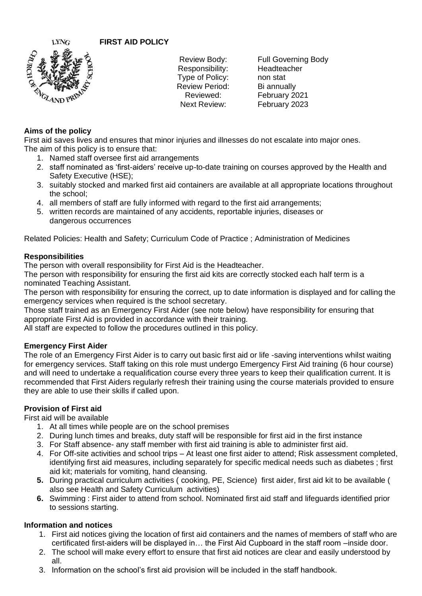**FIRST AID POLICY**



Responsibility: Headteacher Type of Policy: non stat Review Period: Bi annually

Review Body: Full Governing Body Reviewed: February 2021 Next Review: February 2023

# **Aims of the policy**

First aid saves lives and ensures that minor injuries and illnesses do not escalate into major ones. The aim of this policy is to ensure that:

- 1. Named staff oversee first aid arrangements
- 2. staff nominated as 'first-aiders' receive up-to-date training on courses approved by the Health and Safety Executive (HSE);
- 3. suitably stocked and marked first aid containers are available at all appropriate locations throughout the school;
- 4. all members of staff are fully informed with regard to the first aid arrangements;
- 5. written records are maintained of any accidents, reportable injuries, diseases or dangerous occurrences

Related Policies: Health and Safety; Curriculum Code of Practice ; Administration of Medicines

#### **Responsibilities**

The person with overall responsibility for First Aid is the Headteacher.

The person with responsibility for ensuring the first aid kits are correctly stocked each half term is a nominated Teaching Assistant.

The person with responsibility for ensuring the correct, up to date information is displayed and for calling the emergency services when required is the school secretary.

Those staff trained as an Emergency First Aider (see note below) have responsibility for ensuring that appropriate First Aid is provided in accordance with their training.

All staff are expected to follow the procedures outlined in this policy.

## **Emergency First Aider**

The role of an Emergency First Aider is to carry out basic first aid or life -saving interventions whilst waiting for emergency services. Staff taking on this role must undergo Emergency First Aid training (6 hour course) and will need to undertake a requalification course every three years to keep their qualification current. It is recommended that First Aiders regularly refresh their training using the course materials provided to ensure they are able to use their skills if called upon.

## **Provision of First aid**

First aid will be available

- 1. At all times while people are on the school premises
- 2. During lunch times and breaks, duty staff will be responsible for first aid in the first instance
- 3. For Staff absence- any staff member with first aid training is able to administer first aid.
- 4. For Off-site activities and school trips At least one first aider to attend; Risk assessment completed, identifying first aid measures, including separately for specific medical needs such as diabetes ; first aid kit; materials for vomiting, hand cleansing.
- **5.** During practical curriculum activities ( cooking, PE, Science) first aider, first aid kit to be available ( also see Health and Safety Curriculum activities)
- **6.** Swimming : First aider to attend from school. Nominated first aid staff and lifeguards identified prior to sessions starting.

## **Information and notices**

- 1. First aid notices giving the location of first aid containers and the names of members of staff who are certificated first-aiders will be displayed in… the First Aid Cupboard in the staff room –inside door.
- 2. The school will make every effort to ensure that first aid notices are clear and easily understood by all.
- 3. Information on the school's first aid provision will be included in the staff handbook.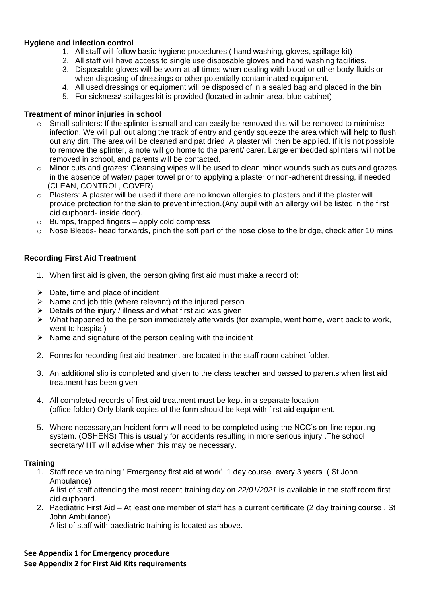#### **Hygiene and infection control**

- 1. All staff will follow basic hygiene procedures ( hand washing, gloves, spillage kit)
- 2. All staff will have access to single use disposable gloves and hand washing facilities.
- 3. Disposable gloves will be worn at all times when dealing with blood or other body fluids or when disposing of dressings or other potentially contaminated equipment.
- 4. All used dressings or equipment will be disposed of in a sealed bag and placed in the bin
- 5. For sickness/ spillages kit is provided (located in admin area, blue cabinet)

#### **Treatment of minor injuries in school**

- $\circ$  Small splinters: If the splinter is small and can easily be removed this will be removed to minimise infection. We will pull out along the track of entry and gently squeeze the area which will help to flush out any dirt. The area will be cleaned and pat dried. A plaster will then be applied. If it is not possible to remove the splinter, a note will go home to the parent/ carer. Large embedded splinters will not be removed in school, and parents will be contacted.
- $\circ$  Minor cuts and grazes: Cleansing wipes will be used to clean minor wounds such as cuts and grazes in the absence of water/ paper towel prior to applying a plaster or non-adherent dressing, if needed (CLEAN, CONTROL, COVER)
- $\circ$  Plasters: A plaster will be used if there are no known allergies to plasters and if the plaster will provide protection for the skin to prevent infection.(Any pupil with an allergy will be listed in the first aid cupboard- inside door).
- o Bumps, trapped fingers apply cold compress
- $\circ$  Nose Bleeds- head forwards, pinch the soft part of the nose close to the bridge, check after 10 mins

## **Recording First Aid Treatment**

- 1. When first aid is given, the person giving first aid must make a record of:
- $\triangleright$  Date, time and place of incident
- ➢ Name and job title (where relevant) of the injured person
- $\triangleright$  Details of the injury / illness and what first aid was given
- $\triangleright$  What happened to the person immediately afterwards (for example, went home, went back to work, went to hospital)
- $\triangleright$  Name and signature of the person dealing with the incident
- 2. Forms for recording first aid treatment are located in the staff room cabinet folder.
- 3. An additional slip is completed and given to the class teacher and passed to parents when first aid treatment has been given
- 4. All completed records of first aid treatment must be kept in a separate location (office folder) Only blank copies of the form should be kept with first aid equipment.
- 5. Where necessary,an Incident form will need to be completed using the NCC's on-line reporting system. (OSHENS) This is usually for accidents resulting in more serious injury .The school secretary/ HT will advise when this may be necessary.

#### **Training**

1. Staff receive training ' Emergency first aid at work' 1 day course every 3 years ( St John Ambulance)

A list of staff attending the most recent training day on *22/01/2021* is available in the staff room first aid cupboard.

2. Paediatric First Aid – At least one member of staff has a current certificate (2 day training course , St John Ambulance)

A list of staff with paediatric training is located as above.

#### **See Appendix 1 for Emergency procedure See Appendix 2 for First Aid Kits requirements**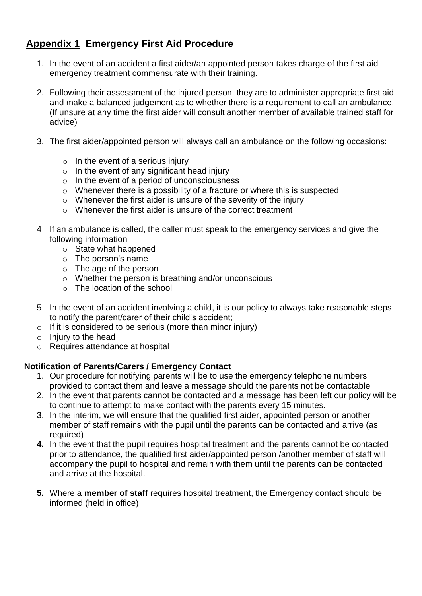# **Appendix 1 Emergency First Aid Procedure**

- 1. In the event of an accident a first aider/an appointed person takes charge of the first aid emergency treatment commensurate with their training.
- 2. Following their assessment of the injured person, they are to administer appropriate first aid and make a balanced judgement as to whether there is a requirement to call an ambulance. (If unsure at any time the first aider will consult another member of available trained staff for advice)
- 3. The first aider/appointed person will always call an ambulance on the following occasions:
	- $\circ$  In the event of a serious injury
	- $\circ$  In the event of any significant head injury
	- o In the event of a period of unconsciousness
	- o Whenever there is a possibility of a fracture or where this is suspected
	- o Whenever the first aider is unsure of the severity of the injury
	- $\circ$  Whenever the first aider is unsure of the correct treatment
- 4 If an ambulance is called, the caller must speak to the emergency services and give the following information
	- o State what happened
	- o The person's name
	- o The age of the person
	- o Whether the person is breathing and/or unconscious
	- $\circ$  The location of the school
- 5 In the event of an accident involving a child, it is our policy to always take reasonable steps to notify the parent/carer of their child's accident;
- $\circ$  If it is considered to be serious (more than minor injury)
- $\circ$  Injury to the head
- o Requires attendance at hospital

# **Notification of Parents/Carers / Emergency Contact**

- 1. Our procedure for notifying parents will be to use the emergency telephone numbers provided to contact them and leave a message should the parents not be contactable
- 2. In the event that parents cannot be contacted and a message has been left our policy will be to continue to attempt to make contact with the parents every 15 minutes.
- 3. In the interim, we will ensure that the qualified first aider, appointed person or another member of staff remains with the pupil until the parents can be contacted and arrive (as required)
- **4.** In the event that the pupil requires hospital treatment and the parents cannot be contacted prior to attendance, the qualified first aider/appointed person /another member of staff will accompany the pupil to hospital and remain with them until the parents can be contacted and arrive at the hospital.
- **5.** Where a **member of staff** requires hospital treatment, the Emergency contact should be informed (held in office)